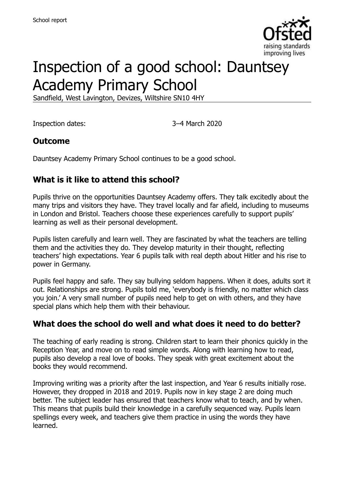

# Inspection of a good school: Dauntsey Academy Primary School

Sandfield, West Lavington, Devizes, Wiltshire SN10 4HY

Inspection dates: 3–4 March 2020

### **Outcome**

Dauntsey Academy Primary School continues to be a good school.

### **What is it like to attend this school?**

Pupils thrive on the opportunities Dauntsey Academy offers. They talk excitedly about the many trips and visitors they have. They travel locally and far afield, including to museums in London and Bristol. Teachers choose these experiences carefully to support pupils' learning as well as their personal development.

Pupils listen carefully and learn well. They are fascinated by what the teachers are telling them and the activities they do. They develop maturity in their thought, reflecting teachers' high expectations. Year 6 pupils talk with real depth about Hitler and his rise to power in Germany.

Pupils feel happy and safe. They say bullying seldom happens. When it does, adults sort it out. Relationships are strong. Pupils told me, 'everybody is friendly, no matter which class you join.' A very small number of pupils need help to get on with others, and they have special plans which help them with their behaviour.

#### **What does the school do well and what does it need to do better?**

The teaching of early reading is strong. Children start to learn their phonics quickly in the Reception Year, and move on to read simple words. Along with learning how to read, pupils also develop a real love of books. They speak with great excitement about the books they would recommend.

Improving writing was a priority after the last inspection, and Year 6 results initially rose. However, they dropped in 2018 and 2019. Pupils now in key stage 2 are doing much better. The subject leader has ensured that teachers know what to teach, and by when. This means that pupils build their knowledge in a carefully sequenced way. Pupils learn spellings every week, and teachers give them practice in using the words they have learned.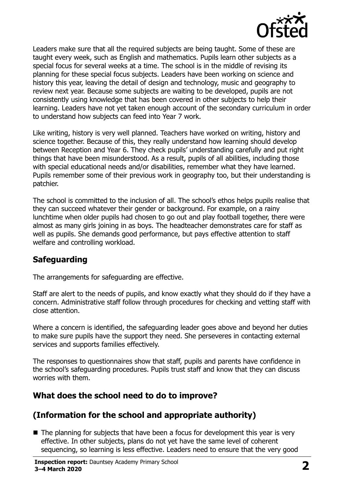

Leaders make sure that all the required subjects are being taught. Some of these are taught every week, such as English and mathematics. Pupils learn other subjects as a special focus for several weeks at a time. The school is in the middle of revising its planning for these special focus subjects. Leaders have been working on science and history this year, leaving the detail of design and technology, music and geography to review next year. Because some subjects are waiting to be developed, pupils are not consistently using knowledge that has been covered in other subjects to help their learning. Leaders have not yet taken enough account of the secondary curriculum in order to understand how subjects can feed into Year 7 work.

Like writing, history is very well planned. Teachers have worked on writing, history and science together. Because of this, they really understand how learning should develop between Reception and Year 6. They check pupils' understanding carefully and put right things that have been misunderstood. As a result, pupils of all abilities, including those with special educational needs and/or disabilities, remember what they have learned. Pupils remember some of their previous work in geography too, but their understanding is patchier.

The school is committed to the inclusion of all. The school's ethos helps pupils realise that they can succeed whatever their gender or background. For example, on a rainy lunchtime when older pupils had chosen to go out and play football together, there were almost as many girls joining in as boys. The headteacher demonstrates care for staff as well as pupils. She demands good performance, but pays effective attention to staff welfare and controlling workload.

# **Safeguarding**

The arrangements for safeguarding are effective.

Staff are alert to the needs of pupils, and know exactly what they should do if they have a concern. Administrative staff follow through procedures for checking and vetting staff with close attention.

Where a concern is identified, the safeguarding leader goes above and beyond her duties to make sure pupils have the support they need. She perseveres in contacting external services and supports families effectively.

The responses to questionnaires show that staff, pupils and parents have confidence in the school's safeguarding procedures. Pupils trust staff and know that they can discuss worries with them.

# **What does the school need to do to improve?**

# **(Information for the school and appropriate authority)**

 $\blacksquare$  The planning for subjects that have been a focus for development this year is very effective. In other subjects, plans do not yet have the same level of coherent sequencing, so learning is less effective. Leaders need to ensure that the very good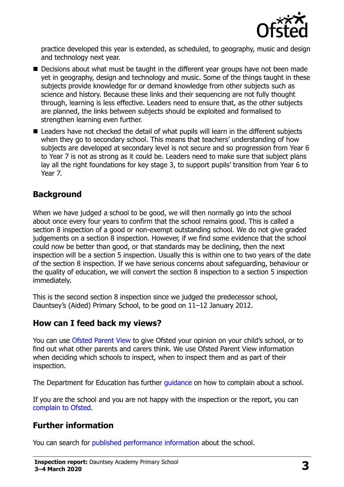

practice developed this year is extended, as scheduled, to geography, music and design and technology next year.

- Decisions about what must be taught in the different year groups have not been made yet in geography, design and technology and music. Some of the things taught in these subjects provide knowledge for or demand knowledge from other subjects such as science and history. Because these links and their sequencing are not fully thought through, learning is less effective. Leaders need to ensure that, as the other subjects are planned, the links between subjects should be exploited and formalised to strengthen learning even further.
- Leaders have not checked the detail of what pupils will learn in the different subjects when they go to secondary school. This means that teachers' understanding of how subjects are developed at secondary level is not secure and so progression from Year 6 to Year 7 is not as strong as it could be. Leaders need to make sure that subject plans lay all the right foundations for key stage 3, to support pupils' transition from Year 6 to Year 7.

### **Background**

When we have judged a school to be good, we will then normally go into the school about once every four years to confirm that the school remains good. This is called a section 8 inspection of a good or non-exempt outstanding school. We do not give graded judgements on a section 8 inspection. However, if we find some evidence that the school could now be better than good, or that standards may be declining, then the next inspection will be a section 5 inspection. Usually this is within one to two years of the date of the section 8 inspection. If we have serious concerns about safeguarding, behaviour or the quality of education, we will convert the section 8 inspection to a section 5 inspection immediately.

This is the second section 8 inspection since we judged the predecessor school, Dauntsey's (Aided) Primary School, to be good on 11–12 January 2012.

#### **How can I feed back my views?**

You can use [Ofsted Parent View](https://parentview.ofsted.gov.uk/) to give Ofsted your opinion on your child's school, or to find out what other parents and carers think. We use Ofsted Parent View information when deciding which schools to inspect, when to inspect them and as part of their inspection.

The Department for Education has further quidance on how to complain about a school.

If you are the school and you are not happy with the inspection or the report, you can [complain to Ofsted.](https://www.gov.uk/complain-ofsted-report)

#### **Further information**

You can search for [published performance information](http://www.compare-school-performance.service.gov.uk/) about the school.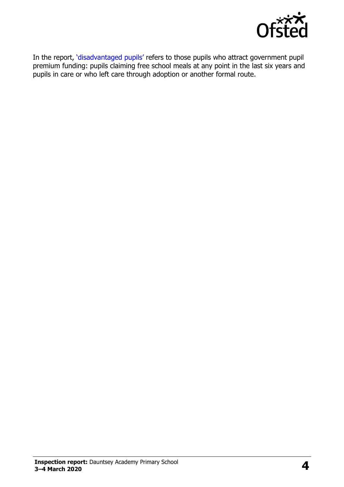

In the report, '[disadvantaged pupils](http://www.gov.uk/guidance/pupil-premium-information-for-schools-and-alternative-provision-settings)' refers to those pupils who attract government pupil premium funding: pupils claiming free school meals at any point in the last six years and pupils in care or who left care through adoption or another formal route.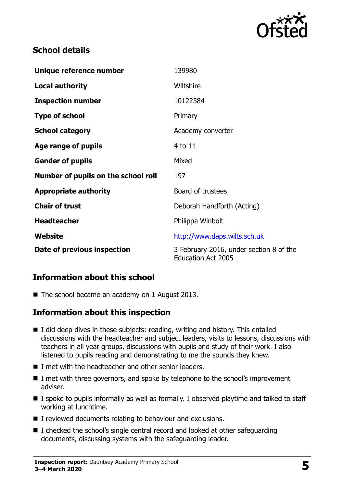

### **School details**

| Unique reference number             | 139980                                                               |
|-------------------------------------|----------------------------------------------------------------------|
| <b>Local authority</b>              | Wiltshire                                                            |
| <b>Inspection number</b>            | 10122384                                                             |
| <b>Type of school</b>               | Primary                                                              |
| <b>School category</b>              | Academy converter                                                    |
| Age range of pupils                 | 4 to 11                                                              |
| <b>Gender of pupils</b>             | Mixed                                                                |
| Number of pupils on the school roll | 197                                                                  |
| <b>Appropriate authority</b>        | Board of trustees                                                    |
| <b>Chair of trust</b>               | Deborah Handforth (Acting)                                           |
| <b>Headteacher</b>                  | Philippa Winbolt                                                     |
| <b>Website</b>                      | http://www.daps.wilts.sch.uk                                         |
| Date of previous inspection         | 3 February 2016, under section 8 of the<br><b>Education Act 2005</b> |

# **Information about this school**

■ The school became an academy on 1 August 2013.

#### **Information about this inspection**

- I did deep dives in these subjects: reading, writing and history. This entailed discussions with the headteacher and subject leaders, visits to lessons, discussions with teachers in all year groups, discussions with pupils and study of their work. I also listened to pupils reading and demonstrating to me the sounds they knew.
- I met with the headteacher and other senior leaders.
- I met with three governors, and spoke by telephone to the school's improvement adviser.
- I spoke to pupils informally as well as formally. I observed playtime and talked to staff working at lunchtime.
- I reviewed documents relating to behaviour and exclusions.
- I checked the school's single central record and looked at other safeguarding documents, discussing systems with the safeguarding leader.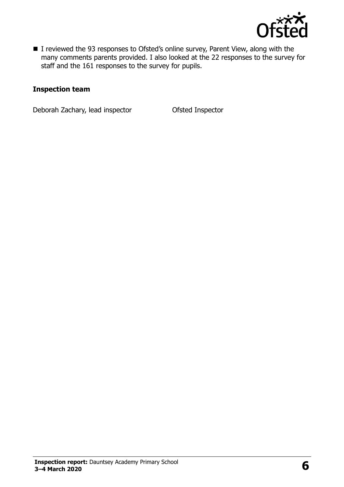

■ I reviewed the 93 responses to Ofsted's online survey, Parent View, along with the many comments parents provided. I also looked at the 22 responses to the survey for staff and the 161 responses to the survey for pupils.

#### **Inspection team**

Deborah Zachary, lead inspector **Ofsted Inspector**